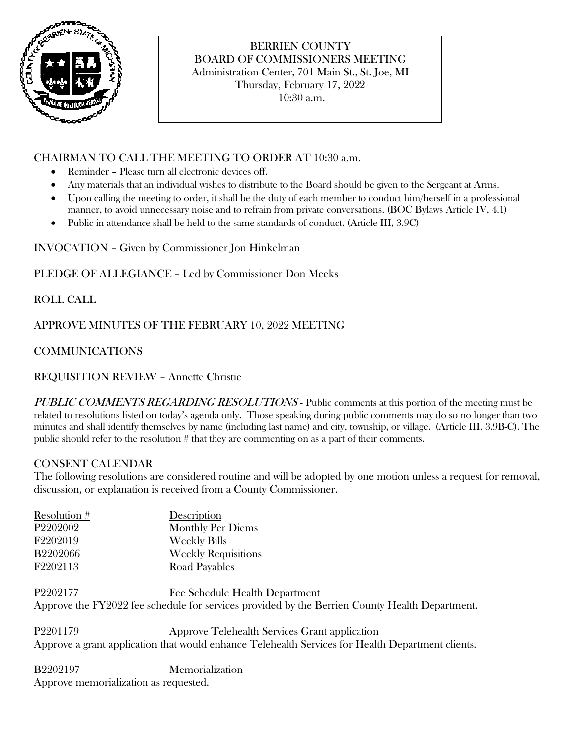

# BERRIEN COUNTY BOARD OF COMMISSIONERS MEETING Administration Center, 701 Main St., St. Joe, MI Thursday, February 17, 2022

10:30 a.m.

### CHAIRMAN TO CALL THE MEETING TO ORDER AT 10:30 a.m.

- Reminder Please turn all electronic devices off.
- Any materials that an individual wishes to distribute to the Board should be given to the Sergeant at Arms.
- Upon calling the meeting to order, it shall be the duty of each member to conduct him/herself in a professional manner, to avoid unnecessary noise and to refrain from private conversations. (BOC Bylaws Article IV, 4.1)
- Public in attendance shall be held to the same standards of conduct. (Article III, 3.9C)

INVOCATION – Given by Commissioner Jon Hinkelman

PLEDGE OF ALLEGIANCE – Led by Commissioner Don Meeks

ROLL CALL

APPROVE MINUTES OF THE FEBRUARY 10, 2022 MEETING

### COMMUNICATIONS

REQUISITION REVIEW – Annette Christie

PUBLIC COMMENTS REGARDING RESOLUTIONS - Public comments at this portion of the meeting must be related to resolutions listed on today's agenda only. Those speaking during public comments may do so no longer than two minutes and shall identify themselves by name (including last name) and city, township, or village. (Article III. 3.9B-C). The public should refer to the resolution # that they are commenting on as a part of their comments.

### CONSENT CALENDAR

The following resolutions are considered routine and will be adopted by one motion unless a request for removal, discussion, or explanation is received from a County Commissioner.

| Resolution #    | Description                                                                                    |
|-----------------|------------------------------------------------------------------------------------------------|
| P2202002        | <b>Monthly Per Diems</b>                                                                       |
| F2202019        | <b>Weekly Bills</b>                                                                            |
| <b>B2202066</b> | <b>Weekly Requisitions</b>                                                                     |
| F2202113        | <b>Road Payables</b>                                                                           |
| P2202177        | Fee Schedule Health Department                                                                 |
|                 | Approve the FY2022 fee schedule for services provided by the Berrien County Health Department. |

P2201179 Approve Telehealth Services Grant application Approve a grant application that would enhance Telehealth Services for Health Department clients.

B2202197 Memorialization Approve memorialization as requested.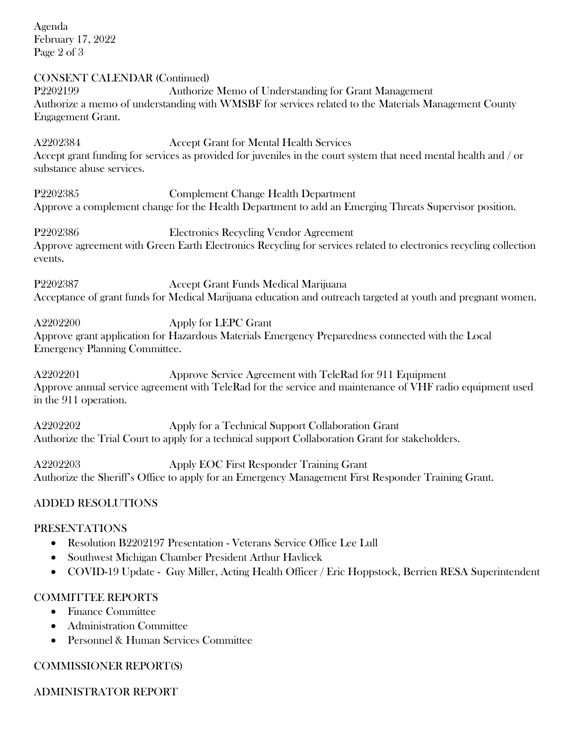Agenda February 17, 2022 Page 2 of 3

CONSENT CALENDAR (Continued) P2202199 Authorize Memo of Understanding for Grant Management Authorize a memo of understanding with WMSBF for services related to the Materials Management County Engagement Grant.

A2202384 Accept Grant for Mental Health Services Accept grant funding for services as provided for juveniles in the court system that need mental health and / or substance abuse services.

P2202385 Complement Change Health Department Approve a complement change for the Health Department to add an Emerging Threats Supervisor position.

P2202386 Electronics Recycling Vendor Agreement Approve agreement with Green Earth Electronics Recycling for services related to electronics recycling collection events.

P2202387 Accept Grant Funds Medical Marijuana Acceptance of grant funds for Medical Marijuana education and outreach targeted at youth and pregnant women.

A2202200 Apply for LEPC Grant

Approve grant application for Hazardous Materials Emergency Preparedness connected with the Local Emergency Planning Committee.

A2202201 Approve Service Agreement with TeleRad for 911 Equipment Approve annual service agreement with TeleRad for the service and maintenance of VHF radio equipment used in the 911 operation.

A2202202 Apply for a Technical Support Collaboration Grant Authorize the Trial Court to apply for a technical support Collaboration Grant for stakeholders.

A2202203 Apply EOC First Responder Training Grant Authorize the Sheriff's Office to apply for an Emergency Management First Responder Training Grant.

## ADDED RESOLUTIONS

### PRESENTATIONS

- Resolution B2202197 Presentation Veterans Service Office Lee Lull
- Southwest Michigan Chamber President Arthur Havlicek
- COVID-19 Update Guy Miller, Acting Health Officer / Eric Hoppstock, Berrien RESA Superintendent

## COMMITTEE REPORTS

- Finance Committee
- Administration Committee
- Personnel & Human Services Committee

## COMMISSIONER REPORT(S)

ADMINISTRATOR REPORT